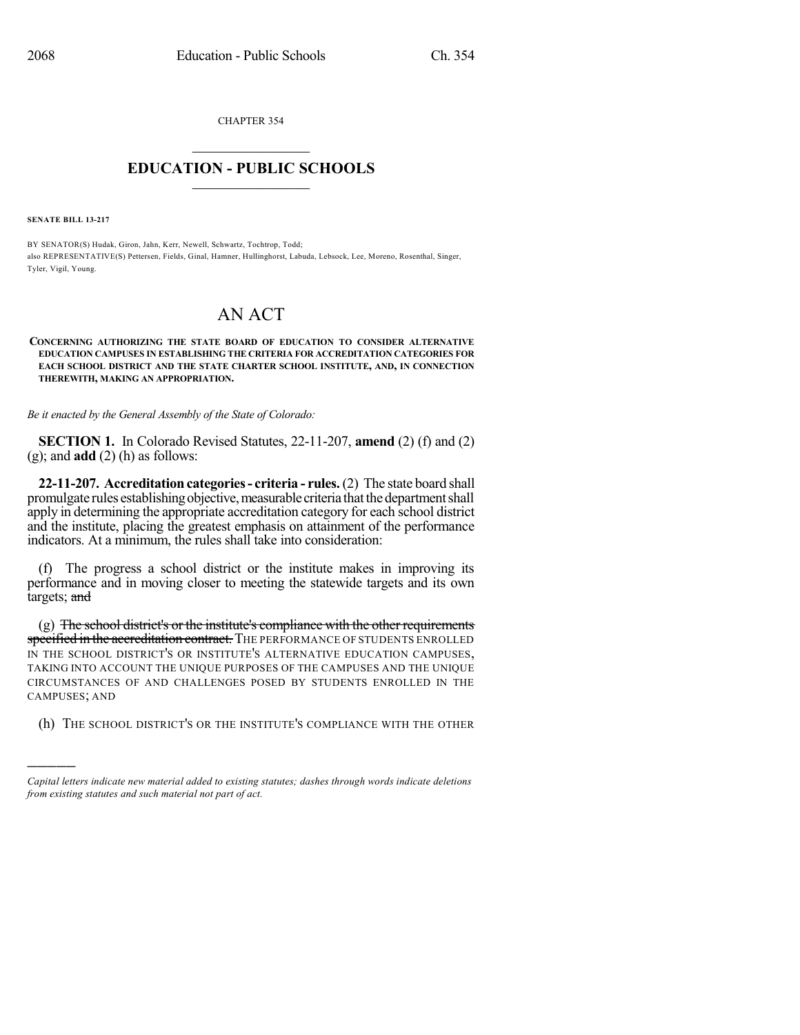CHAPTER 354  $\mathcal{L}_\text{max}$  . The set of the set of the set of the set of the set of the set of the set of the set of the set of the set of the set of the set of the set of the set of the set of the set of the set of the set of the set

## **EDUCATION - PUBLIC SCHOOLS**  $\_$   $\_$   $\_$   $\_$   $\_$   $\_$   $\_$   $\_$   $\_$

**SENATE BILL 13-217**

)))))

BY SENATOR(S) Hudak, Giron, Jahn, Kerr, Newell, Schwartz, Tochtrop, Todd; also REPRESENTATIVE(S) Pettersen, Fields, Ginal, Hamner, Hullinghorst, Labuda, Lebsock, Lee, Moreno, Rosenthal, Singer, Tyler, Vigil, Young.

## AN ACT

## **CONCERNING AUTHORIZING THE STATE BOARD OF EDUCATION TO CONSIDER ALTERNATIVE EDUCATION CAMPUSES IN ESTABLISHING THE CRITERIA FOR ACCREDITATION CATEGORIES FOR EACH SCHOOL DISTRICT AND THE STATE CHARTER SCHOOL INSTITUTE, AND, IN CONNECTION THEREWITH, MAKING AN APPROPRIATION.**

*Be it enacted by the General Assembly of the State of Colorado:*

**SECTION 1.** In Colorado Revised Statutes, 22-11-207, **amend** (2) (f) and (2) (g); and **add** (2) (h) as follows:

**22-11-207. Accreditation categories- criteria - rules.**(2) The state board shall promulgate rules establishing objective, measurable criteria that the department shall apply in determining the appropriate accreditation category for each school district and the institute, placing the greatest emphasis on attainment of the performance indicators. At a minimum, the rules shall take into consideration:

(f) The progress a school district or the institute makes in improving its performance and in moving closer to meeting the statewide targets and its own targets; and

(g) The school district's or the institute's compliance with the other requirements specified in the accreditation contract. THE PERFORMANCE OF STUDENTS ENROLLED IN THE SCHOOL DISTRICT'S OR INSTITUTE'S ALTERNATIVE EDUCATION CAMPUSES, TAKING INTO ACCOUNT THE UNIQUE PURPOSES OF THE CAMPUSES AND THE UNIQUE CIRCUMSTANCES OF AND CHALLENGES POSED BY STUDENTS ENROLLED IN THE CAMPUSES; AND

(h) THE SCHOOL DISTRICT'S OR THE INSTITUTE'S COMPLIANCE WITH THE OTHER

*Capital letters indicate new material added to existing statutes; dashes through words indicate deletions from existing statutes and such material not part of act.*